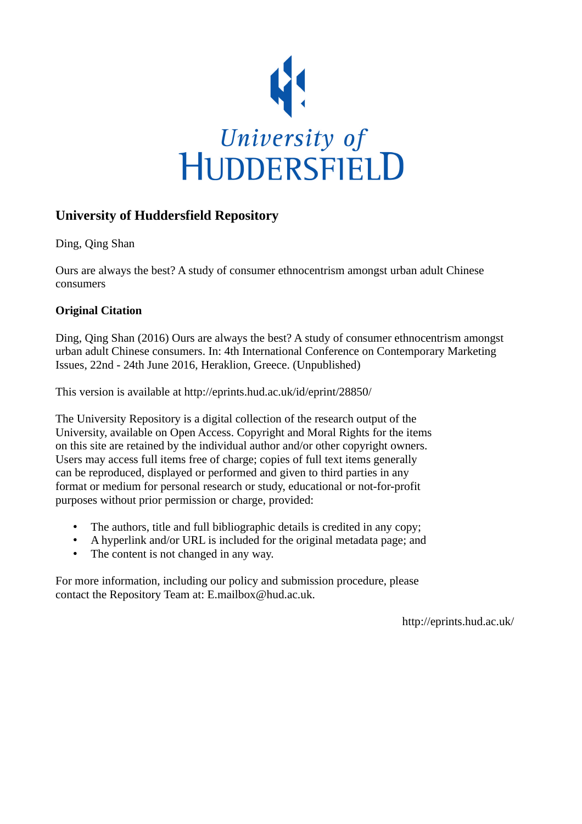

# **University of Huddersfield Repository**

Ding, Qing Shan

Ours are always the best? A study of consumer ethnocentrism amongst urban adult Chinese consumers

# **Original Citation**

Ding, Qing Shan (2016) Ours are always the best? A study of consumer ethnocentrism amongst urban adult Chinese consumers. In: 4th International Conference on Contemporary Marketing Issues, 22nd - 24th June 2016, Heraklion, Greece. (Unpublished)

This version is available at http://eprints.hud.ac.uk/id/eprint/28850/

The University Repository is a digital collection of the research output of the University, available on Open Access. Copyright and Moral Rights for the items on this site are retained by the individual author and/or other copyright owners. Users may access full items free of charge; copies of full text items generally can be reproduced, displayed or performed and given to third parties in any format or medium for personal research or study, educational or not-for-profit purposes without prior permission or charge, provided:

- The authors, title and full bibliographic details is credited in any copy;
- A hyperlink and/or URL is included for the original metadata page; and
- The content is not changed in any way.

For more information, including our policy and submission procedure, please contact the Repository Team at: E.mailbox@hud.ac.uk.

http://eprints.hud.ac.uk/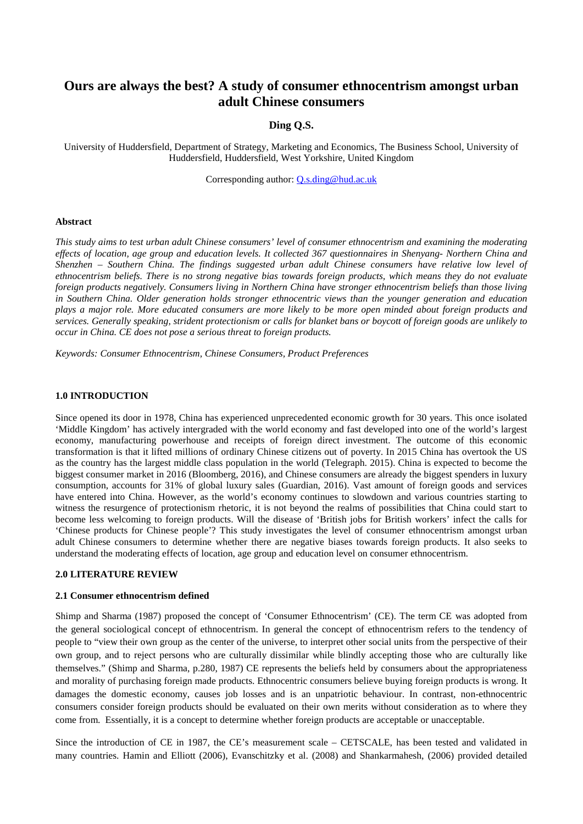# **Ours are always the best? A study of consumer ethnocentrism amongst urban adult Chinese consumers**

# **Ding Q.S.**

University of Huddersfield, Department of Strategy, Marketing and Economics, The Business School, University of Huddersfield, Huddersfield, West Yorkshire, United Kingdom

Corresponding author: [Q.s.ding@hud.ac.uk](mailto:Q.s.ding@hud.ac.uk)

#### **Abstract**

*This study aims to test urban adult Chinese consumers' level of consumer ethnocentrism and examining the moderating effects of location, age group and education levels. It collected 367 questionnaires in Shenyang- Northern China and Shenzhen – Southern China. The findings suggested urban adult Chinese consumers have relative low level of ethnocentrism beliefs. There is no strong negative bias towards foreign products, which means they do not evaluate foreign products negatively. Consumers living in Northern China have stronger ethnocentrism beliefs than those living in Southern China. Older generation holds stronger ethnocentric views than the younger generation and education plays a major role. More educated consumers are more likely to be more open minded about foreign products and services. Generally speaking, strident protectionism or calls for blanket bans or boycott of foreign goods are unlikely to occur in China. CE does not pose a serious threat to foreign products.* 

*Keywords: Consumer Ethnocentrism, Chinese Consumers, Product Preferences* 

### **1.0 INTRODUCTION**

Since opened its door in 1978, China has experienced unprecedented economic growth for 30 years. This once isolated 'Middle Kingdom' has actively intergraded with the world economy and fast developed into one of the world's largest economy, manufacturing powerhouse and receipts of foreign direct investment. The outcome of this economic transformation is that it lifted millions of ordinary Chinese citizens out of poverty. In 2015 China has overtook the US as the country has the largest middle class population in the world (Telegraph. 2015). China is expected to become the biggest consumer market in 2016 (Bloomberg, 2016), and Chinese consumers are already the biggest spenders in luxury consumption, accounts for 31% of global luxury sales (Guardian, 2016). Vast amount of foreign goods and services have entered into China. However, as the world's economy continues to slowdown and various countries starting to witness the resurgence of protectionism rhetoric, it is not beyond the realms of possibilities that China could start to become less welcoming to foreign products. Will the disease of 'British jobs for British workers' infect the calls for 'Chinese products for Chinese people'? This study investigates the level of consumer ethnocentrism amongst urban adult Chinese consumers to determine whether there are negative biases towards foreign products. It also seeks to understand the moderating effects of location, age group and education level on consumer ethnocentrism.

### **2.0 LITERATURE REVIEW**

#### **2.1 Consumer ethnocentrism defined**

Shimp and Sharma (1987) proposed the concept of 'Consumer Ethnocentrism' (CE). The term CE was adopted from the general sociological concept of ethnocentrism. In general the concept of ethnocentrism refers to the tendency of people to "view their own group as the center of the universe, to interpret other social units from the perspective of their own group, and to reject persons who are culturally dissimilar while blindly accepting those who are culturally like themselves." (Shimp and Sharma, p.280, 1987) CE represents the beliefs held by consumers about the appropriateness and morality of purchasing foreign made products. Ethnocentric consumers believe buying foreign products is wrong. It damages the domestic economy, causes job losses and is an unpatriotic behaviour. In contrast, non-ethnocentric consumers consider foreign products should be evaluated on their own merits without consideration as to where they come from. Essentially, it is a concept to determine whether foreign products are acceptable or unacceptable.

Since the introduction of CE in 1987, the CE's measurement scale – CETSCALE, has been tested and validated in many countries. Hamin and Elliott (2006), Evanschitzky et al. (2008) and Shankarmahesh, (2006) provided detailed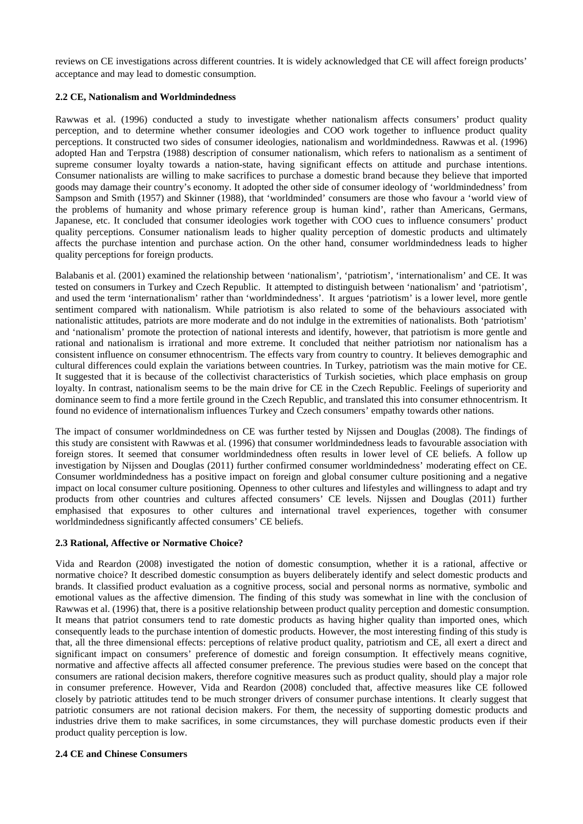reviews on CE investigations across different countries. It is widely acknowledged that CE will affect foreign products' acceptance and may lead to domestic consumption.

# **2.2 CE, Nationalism and Worldmindedness**

Rawwas et al. (1996) conducted a study to investigate whether nationalism affects consumers' product quality perception, and to determine whether consumer ideologies and COO work together to influence product quality perceptions. It constructed two sides of consumer ideologies, nationalism and worldmindedness. Rawwas et al. (1996) adopted Han and Terpstra (1988) description of consumer nationalism, which refers to nationalism as a sentiment of supreme consumer loyalty towards a nation-state, having significant effects on attitude and purchase intentions. Consumer nationalists are willing to make sacrifices to purchase a domestic brand because they believe that imported goods may damage their country's economy. It adopted the other side of consumer ideology of 'worldmindedness' from Sampson and Smith (1957) and Skinner (1988), that 'worldminded' consumers are those who favour a 'world view of the problems of humanity and whose primary reference group is human kind', rather than Americans, Germans, Japanese, etc. It concluded that consumer ideologies work together with COO cues to influence consumers' product quality perceptions. Consumer nationalism leads to higher quality perception of domestic products and ultimately affects the purchase intention and purchase action. On the other hand, consumer worldmindedness leads to higher quality perceptions for foreign products.

Balabanis et al. (2001) examined the relationship between 'nationalism', 'patriotism', 'internationalism' and CE. It was tested on consumers in Turkey and Czech Republic. It attempted to distinguish between 'nationalism' and 'patriotism', and used the term 'internationalism' rather than 'worldmindedness'. It argues 'patriotism' is a lower level, more gentle sentiment compared with nationalism. While patriotism is also related to some of the behaviours associated with nationalistic attitudes, patriots are more moderate and do not indulge in the extremities of nationalists. Both 'patriotism' and 'nationalism' promote the protection of national interests and identify, however, that patriotism is more gentle and rational and nationalism is irrational and more extreme. It concluded that neither patriotism nor nationalism has a consistent influence on consumer ethnocentrism. The effects vary from country to country. It believes demographic and cultural differences could explain the variations between countries. In Turkey, patriotism was the main motive for CE. It suggested that it is because of the collectivist characteristics of Turkish societies, which place emphasis on group loyalty. In contrast, nationalism seems to be the main drive for CE in the Czech Republic. Feelings of superiority and dominance seem to find a more fertile ground in the Czech Republic, and translated this into consumer ethnocentrism. It found no evidence of internationalism influences Turkey and Czech consumers' empathy towards other nations.

The impact of consumer worldmindedness on CE was further tested by Nijssen and Douglas (2008). The findings of this study are consistent with Rawwas et al. (1996) that consumer worldmindedness leads to favourable association with foreign stores. It seemed that consumer worldmindedness often results in lower level of CE beliefs. A follow up investigation by Nijssen and Douglas (2011) further confirmed consumer worldmindedness' moderating effect on CE. Consumer worldmindedness has a positive impact on foreign and global consumer culture positioning and a negative impact on local consumer culture positioning. Openness to other cultures and lifestyles and willingness to adapt and try products from other countries and cultures affected consumers' CE levels. Nijssen and Douglas (2011) further emphasised that exposures to other cultures and international travel experiences, together with consumer worldmindedness significantly affected consumers' CE beliefs.

# **2.3 Rational, Affective or Normative Choice?**

Vida and Reardon (2008) investigated the notion of domestic consumption, whether it is a rational, affective or normative choice? It described domestic consumption as buyers deliberately identify and select domestic products and brands. It classified product evaluation as a cognitive process, social and personal norms as normative, symbolic and emotional values as the affective dimension. The finding of this study was somewhat in line with the conclusion of Rawwas et al. (1996) that, there is a positive relationship between product quality perception and domestic consumption. It means that patriot consumers tend to rate domestic products as having higher quality than imported ones, which consequently leads to the purchase intention of domestic products. However, the most interesting finding of this study is that, all the three dimensional effects: perceptions of relative product quality, patriotism and CE, all exert a direct and significant impact on consumers' preference of domestic and foreign consumption. It effectively means cognitive, normative and affective affects all affected consumer preference. The previous studies were based on the concept that consumers are rational decision makers, therefore cognitive measures such as product quality, should play a major role in consumer preference. However, Vida and Reardon (2008) concluded that, affective measures like CE followed closely by patriotic attitudes tend to be much stronger drivers of consumer purchase intentions. It clearly suggest that patriotic consumers are not rational decision makers. For them, the necessity of supporting domestic products and industries drive them to make sacrifices, in some circumstances, they will purchase domestic products even if their product quality perception is low.

# **2.4 CE and Chinese Consumers**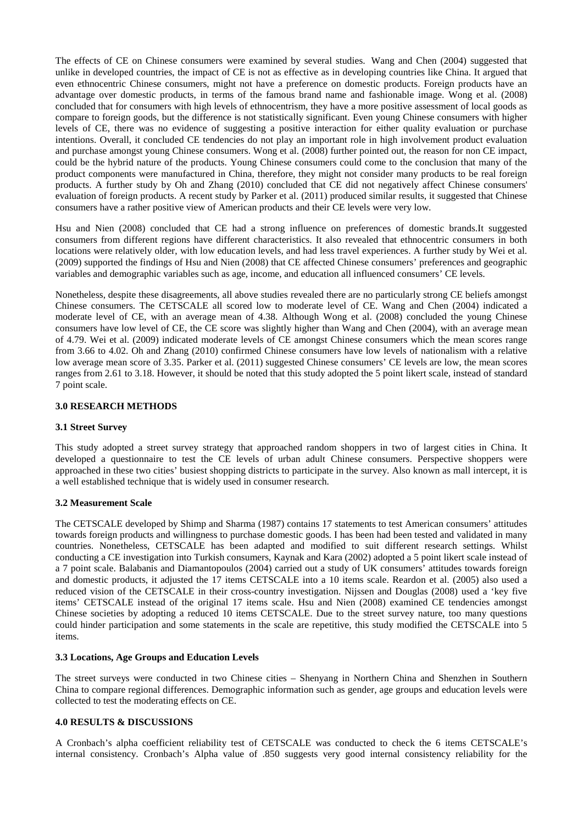The effects of CE on Chinese consumers were examined by several studies. Wang and Chen (2004) suggested that unlike in developed countries, the impact of CE is not as effective as in developing countries like China. It argued that even ethnocentric Chinese consumers, might not have a preference on domestic products. Foreign products have an advantage over domestic products, in terms of the famous brand name and fashionable image. Wong et al. (2008) concluded that for consumers with high levels of ethnocentrism, they have a more positive assessment of local goods as compare to foreign goods, but the difference is not statistically significant. Even young Chinese consumers with higher levels of CE, there was no evidence of suggesting a positive interaction for either quality evaluation or purchase intentions. Overall, it concluded CE tendencies do not play an important role in high involvement product evaluation and purchase amongst young Chinese consumers. Wong et al. (2008) further pointed out, the reason for non CE impact, could be the hybrid nature of the products. Young Chinese consumers could come to the conclusion that many of the product components were manufactured in China, therefore, they might not consider many products to be real foreign products. A further study by Oh and Zhang (2010) concluded that CE did not negatively affect Chinese consumers' evaluation of foreign products. A recent study by Parker et al. (2011) produced similar results, it suggested that Chinese consumers have a rather positive view of American products and their CE levels were very low.

Hsu and Nien (2008) concluded that CE had a strong influence on preferences of domestic brands.It suggested consumers from different regions have different characteristics. It also revealed that ethnocentric consumers in both locations were relatively older, with low education levels, and had less travel experiences. A further study by Wei et al. (2009) supported the findings of Hsu and Nien (2008) that CE affected Chinese consumers' preferences and geographic variables and demographic variables such as age, income, and education all influenced consumers' CE levels.

Nonetheless, despite these disagreements, all above studies revealed there are no particularly strong CE beliefs amongst Chinese consumers. The CETSCALE all scored low to moderate level of CE. Wang and Chen (2004) indicated a moderate level of CE, with an average mean of 4.38. Although Wong et al. (2008) concluded the young Chinese consumers have low level of CE, the CE score was slightly higher than Wang and Chen (2004), with an average mean of 4.79. Wei et al. (2009) indicated moderate levels of CE amongst Chinese consumers which the mean scores range from 3.66 to 4.02. Oh and Zhang (2010) confirmed Chinese consumers have low levels of nationalism with a relative low average mean score of 3.35. Parker et al. (2011) suggested Chinese consumers' CE levels are low, the mean scores ranges from 2.61 to 3.18. However, it should be noted that this study adopted the 5 point likert scale, instead of standard 7 point scale.

# **3.0 RESEARCH METHODS**

# **3.1 Street Survey**

This study adopted a street survey strategy that approached random shoppers in two of largest cities in China. It developed a questionnaire to test the CE levels of urban adult Chinese consumers. Perspective shoppers were approached in these two cities' busiest shopping districts to participate in the survey. Also known as mall intercept, it is a well established technique that is widely used in consumer research.

# **3.2 Measurement Scale**

The CETSCALE developed by Shimp and Sharma (1987) contains 17 statements to test American consumers' attitudes towards foreign products and willingness to purchase domestic goods. I has been had been tested and validated in many countries. Nonetheless, CETSCALE has been adapted and modified to suit different research settings. Whilst conducting a CE investigation into Turkish consumers, Kaynak and Kara (2002) adopted a 5 point likert scale instead of a 7 point scale. Balabanis and Diamantopoulos (2004) carried out a study of UK consumers' attitudes towards foreign and domestic products, it adjusted the 17 items CETSCALE into a 10 items scale. Reardon et al. (2005) also used a reduced vision of the CETSCALE in their cross-country investigation. Nijssen and Douglas (2008) used a 'key five items' CETSCALE instead of the original 17 items scale. Hsu and Nien (2008) examined CE tendencies amongst Chinese societies by adopting a reduced 10 items CETSCALE. Due to the street survey nature, too many questions could hinder participation and some statements in the scale are repetitive, this study modified the CETSCALE into 5 items.

# **3.3 Locations, Age Groups and Education Levels**

The street surveys were conducted in two Chinese cities – Shenyang in Northern China and Shenzhen in Southern China to compare regional differences. Demographic information such as gender, age groups and education levels were collected to test the moderating effects on CE.

# **4.0 RESULTS & DISCUSSIONS**

A Cronbach's alpha coefficient reliability test of CETSCALE was conducted to check the 6 items CETSCALE's internal consistency. Cronbach's Alpha value of .850 suggests very good internal consistency reliability for the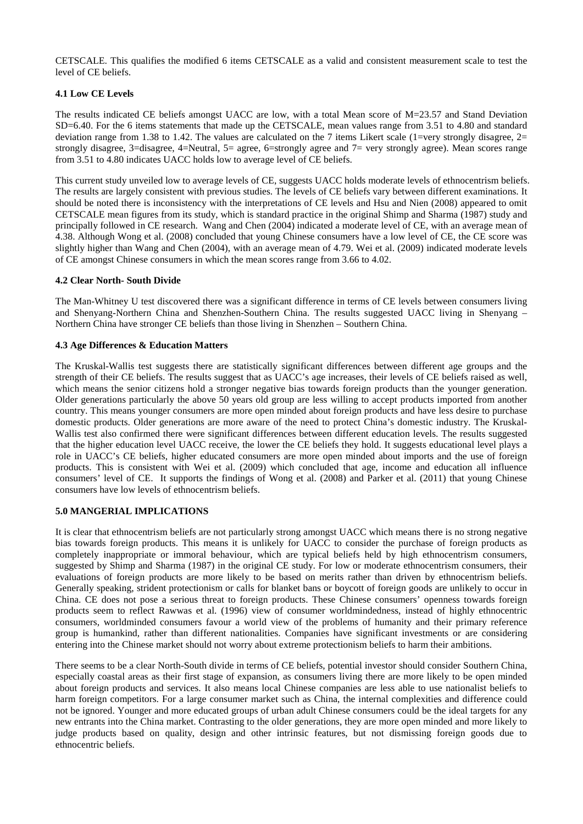CETSCALE. This qualifies the modified 6 items CETSCALE as a valid and consistent measurement scale to test the level of CE beliefs.

# **4.1 Low CE Levels**

The results indicated CE beliefs amongst UACC are low, with a total Mean score of M=23.57 and Stand Deviation SD=6.40. For the 6 items statements that made up the CETSCALE, mean values range from 3.51 to 4.80 and standard deviation range from 1.38 to 1.42. The values are calculated on the 7 items Likert scale (1=very strongly disagree,  $2=$ strongly disagree, 3=disagree, 4=Neutral, 5= agree, 6=strongly agree and 7= very strongly agree). Mean scores range from 3.51 to 4.80 indicates UACC holds low to average level of CE beliefs.

This current study unveiled low to average levels of CE, suggests UACC holds moderate levels of ethnocentrism beliefs. The results are largely consistent with previous studies. The levels of CE beliefs vary between different examinations. It should be noted there is inconsistency with the interpretations of CE levels and Hsu and Nien (2008) appeared to omit CETSCALE mean figures from its study, which is standard practice in the original Shimp and Sharma (1987) study and principally followed in CE research. Wang and Chen (2004) indicated a moderate level of CE, with an average mean of 4.38. Although Wong et al. (2008) concluded that young Chinese consumers have a low level of CE, the CE score was slightly higher than Wang and Chen (2004), with an average mean of 4.79. Wei et al. (2009) indicated moderate levels of CE amongst Chinese consumers in which the mean scores range from 3.66 to 4.02.

# **4.2 Clear North- South Divide**

The Man-Whitney U test discovered there was a significant difference in terms of CE levels between consumers living and Shenyang-Northern China and Shenzhen-Southern China. The results suggested UACC living in Shenyang – Northern China have stronger CE beliefs than those living in Shenzhen – Southern China.

# **4.3 Age Differences & Education Matters**

The Kruskal-Wallis test suggests there are statistically significant differences between different age groups and the strength of their CE beliefs. The results suggest that as UACC's age increases, their levels of CE beliefs raised as well, which means the senior citizens hold a stronger negative bias towards foreign products than the younger generation. Older generations particularly the above 50 years old group are less willing to accept products imported from another country. This means younger consumers are more open minded about foreign products and have less desire to purchase domestic products. Older generations are more aware of the need to protect China's domestic industry. The Kruskal-Wallis test also confirmed there were significant differences between different education levels. The results suggested that the higher education level UACC receive, the lower the CE beliefs they hold. It suggests educational level plays a role in UACC's CE beliefs, higher educated consumers are more open minded about imports and the use of foreign products. This is consistent with Wei et al. (2009) which concluded that age, income and education all influence consumers' level of CE. It supports the findings of Wong et al. (2008) and Parker et al. (2011) that young Chinese consumers have low levels of ethnocentrism beliefs.

# **5.0 MANGERIAL IMPLICATIONS**

It is clear that ethnocentrism beliefs are not particularly strong amongst UACC which means there is no strong negative bias towards foreign products. This means it is unlikely for UACC to consider the purchase of foreign products as completely inappropriate or immoral behaviour, which are typical beliefs held by high ethnocentrism consumers, suggested by Shimp and Sharma (1987) in the original CE study. For low or moderate ethnocentrism consumers, their evaluations of foreign products are more likely to be based on merits rather than driven by ethnocentrism beliefs. Generally speaking, strident protectionism or calls for blanket bans or boycott of foreign goods are unlikely to occur in China. CE does not pose a serious threat to foreign products. These Chinese consumers' openness towards foreign products seem to reflect Rawwas et al. (1996) view of consumer worldmindedness, instead of highly ethnocentric consumers, worldminded consumers favour a world view of the problems of humanity and their primary reference group is humankind, rather than different nationalities. Companies have significant investments or are considering entering into the Chinese market should not worry about extreme protectionism beliefs to harm their ambitions.

There seems to be a clear North-South divide in terms of CE beliefs, potential investor should consider Southern China, especially coastal areas as their first stage of expansion, as consumers living there are more likely to be open minded about foreign products and services. It also means local Chinese companies are less able to use nationalist beliefs to harm foreign competitors. For a large consumer market such as China, the internal complexities and difference could not be ignored. Younger and more educated groups of urban adult Chinese consumers could be the ideal targets for any new entrants into the China market. Contrasting to the older generations, they are more open minded and more likely to judge products based on quality, design and other intrinsic features, but not dismissing foreign goods due to ethnocentric beliefs.